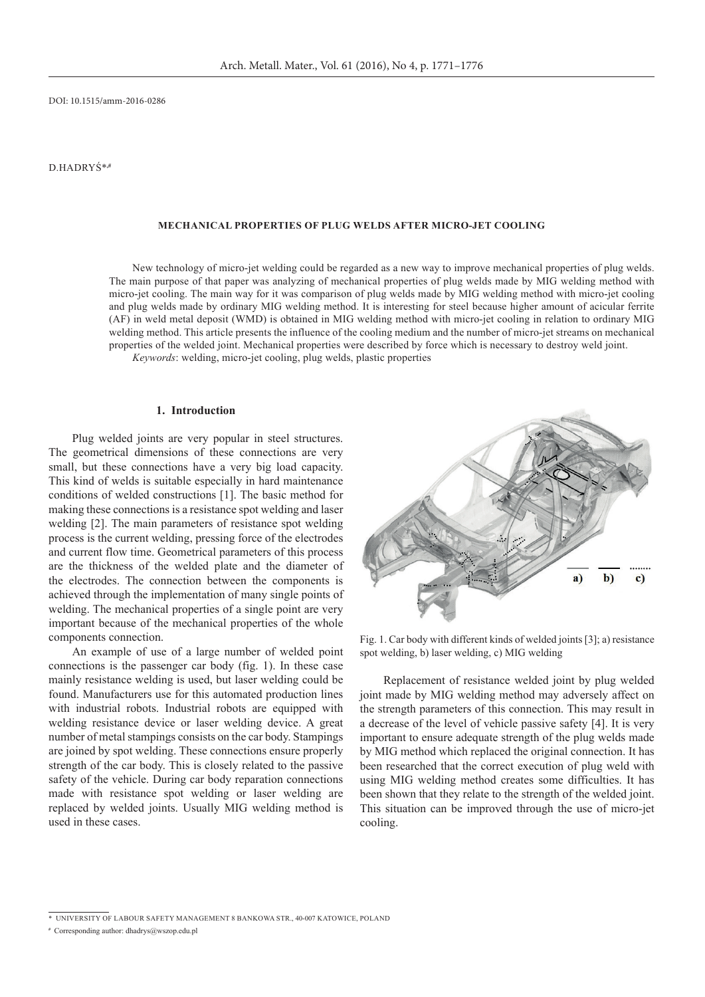DOI: 10.1515/amm-2016-0286

D.HADRYŚ\***,#**

## **Mechanical properties of plug welds after micro-jet cooling**

New technology of micro-jet welding could be regarded as a new way to improve mechanical properties of plug welds. The main purpose of that paper was analyzing of mechanical properties of plug welds made by MIG welding method with micro-jet cooling. The main way for it was comparison of plug welds made by MIG welding method with micro-jet cooling and plug welds made by ordinary MIG welding method. It is interesting for steel because higher amount of acicular ferrite (AF) in weld metal deposit (WMD) is obtained in MIG welding method with micro-jet cooling in relation to ordinary MIG welding method. This article presents the influence of the cooling medium and the number of micro-jet streams on mechanical properties of the welded joint. Mechanical properties were described by force which is necessary to destroy weld joint. *Keywords*: welding, micro-jet cooling, plug welds, plastic properties

# **1. Introduction**

Plug welded joints are very popular in steel structures. The geometrical dimensions of these connections are very small, but these connections have a very big load capacity. This kind of welds is suitable especially in hard maintenance conditions of welded constructions [1]. The basic method for making these connections is a resistance spot welding and laser welding [2]. The main parameters of resistance spot welding process is the current welding, pressing force of the electrodes and current flow time. Geometrical parameters of this process are the thickness of the welded plate and the diameter of the electrodes. The connection between the components is achieved through the implementation of many single points of welding. The mechanical properties of a single point are very important because of the mechanical properties of the whole components connection.

An example of use of a large number of welded point connections is the passenger car body (fig. 1). In these case mainly resistance welding is used, but laser welding could be found. Manufacturers use for this automated production lines with industrial robots. Industrial robots are equipped with welding resistance device or laser welding device. A great number of metal stampings consists on the car body. Stampings are joined by spot welding. These connections ensure properly strength of the car body. This is closely related to the passive safety of the vehicle. During car body reparation connections made with resistance spot welding or laser welding are replaced by welded joints. Usually MIG welding method is used in these cases.



Fig. 1. Car body with different kinds of welded joints [3]; a) resistance spot welding, b) laser welding, c) MIG welding

Replacement of resistance welded joint by plug welded joint made by MIG welding method may adversely affect on the strength parameters of this connection. This may result in a decrease of the level of vehicle passive safety [4]. It is very important to ensure adequate strength of the plug welds made by MIG method which replaced the original connection. It has been researched that the correct execution of plug weld with using MIG welding method creates some difficulties. It has been shown that they relate to the strength of the welded joint. This situation can be improved through the use of micro-jet cooling.

<sup>\*</sup>University of Labour Safety Management 8 Bankowa Str., 40-007 Katowice, Poland

**<sup>#</sup>** Corresponding author: dhadrys@wszop.edu.pl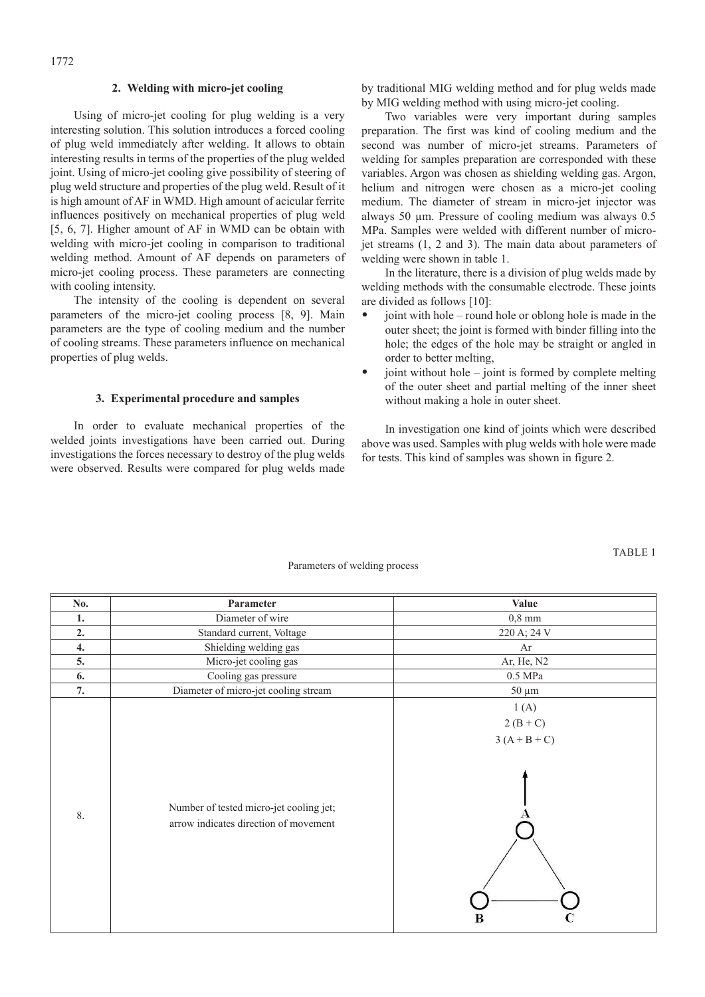# **2. Welding with micro-jet cooling**

Using of micro-jet cooling for plug welding is a very interesting solution. This solution introduces a forced cooling of plug weld immediately after welding. It allows to obtain interesting results in terms of the properties of the plug welded joint. Using of micro-jet cooling give possibility of steering of plug weld structure and properties of the plug weld. Result of it is high amount of AF in WMD. High amount of acicular ferrite influences positively on mechanical properties of plug weld [5, 6, 7]. Higher amount of AF in WMD can be obtain with welding with micro-jet cooling in comparison to traditional welding method. Amount of AF depends on parameters of micro-jet cooling process. These parameters are connecting with cooling intensity.

The intensity of the cooling is dependent on several parameters of the micro-jet cooling process [8, 9]. Main parameters are the type of cooling medium and the number of cooling streams. These parameters influence on mechanical properties of plug welds.

# **3. Experimental procedure and samples**

In order to evaluate mechanical properties of the welded joints investigations have been carried out. During investigations the forces necessary to destroy of the plug welds were observed. Results were compared for plug welds made

by traditional MIG welding method and for plug welds made by MIG welding method with using micro-jet cooling.

Two variables were very important during samples preparation. The first was kind of cooling medium and the second was number of micro-jet streams. Parameters of welding for samples preparation are corresponded with these variables. Argon was chosen as shielding welding gas. Argon, helium and nitrogen were chosen as a micro-jet cooling medium. The diameter of stream in micro-jet injector was always 50 µm. Pressure of cooling medium was always 0.5 MPa. Samples were welded with different number of microjet streams (1, 2 and 3). The main data about parameters of welding were shown in table 1.

In the literature, there is a division of plug welds made by welding methods with the consumable electrode. These joints are divided as follows [10]:

- joint with hole round hole or oblong hole is made in the outer sheet; the joint is formed with binder filling into the hole; the edges of the hole may be straight or angled in order to better melting,
- joint without hole  $-$  joint is formed by complete melting of the outer sheet and partial melting of the inner sheet without making a hole in outer sheet.

In investigation one kind of joints which were described above was used. Samples with plug welds with hole were made for tests. This kind of samples was shown in figure 2.

TABLE 1

| No. | Parameter                                                                        | Value                              |
|-----|----------------------------------------------------------------------------------|------------------------------------|
| 1.  | Diameter of wire                                                                 | $0,8$ mm                           |
| 2.  | Standard current, Voltage                                                        | 220 A; 24 V                        |
| 4.  | Shielding welding gas                                                            | Ar                                 |
| 5.  | Micro-jet cooling gas                                                            | Ar, He, N2                         |
| 6.  | Cooling gas pressure                                                             | $0.5\ \mathrm{MPa}$                |
| 7.  | Diameter of micro-jet cooling stream                                             | $50 \mu m$                         |
| 8.  | Number of tested micro-jet cooling jet;<br>arrow indicates direction of movement | 1(A)<br>$2(B+C)$<br>$3(A + B + C)$ |

Parameters of welding process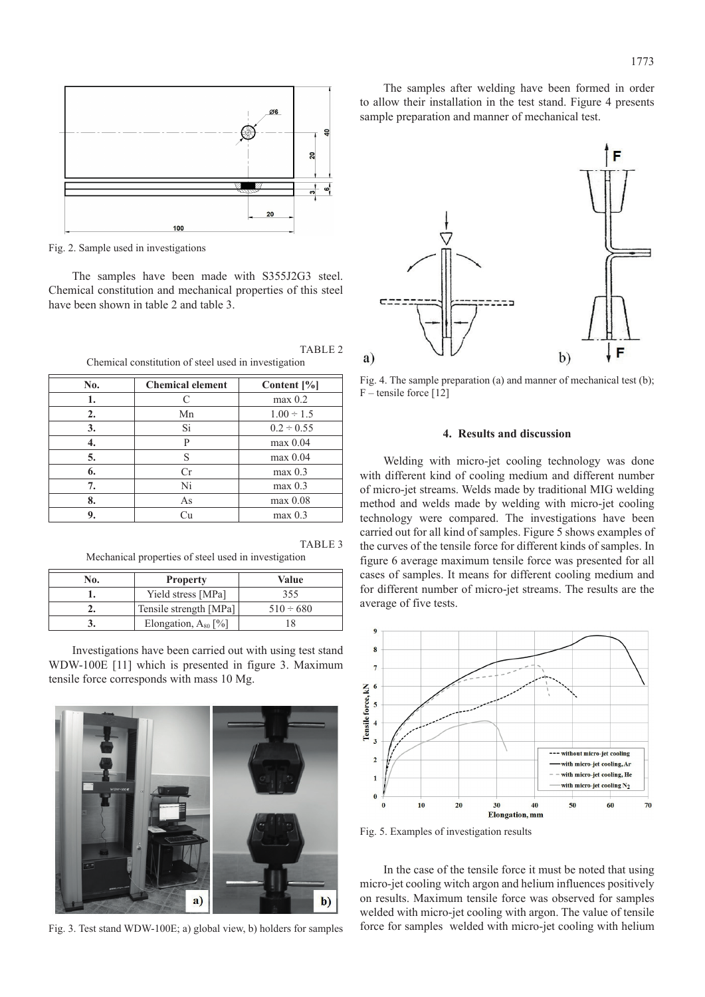

Fig. 2. Sample used in investigations

The samples have been made with S355J2G3 steel. Chemical constitution and mechanical properties of this steel have been shown in table 2 and table 3.

| No. | <b>Chemical element</b> | Content [%]     |
|-----|-------------------------|-----------------|
| 1.  | C                       | $max$ 0.2       |
| 2.  | Mn                      | $1.00 \div 1.5$ |
| 3.  | Si                      | $0.2 \div 0.55$ |
| 4.  | P                       | $max$ 0.04      |
| 5.  | S                       | $max$ 0.04      |
| 6.  | Cr                      | $max\ 0.3$      |
| 7.  | Ni                      | $max\ 0.3$      |
| 8.  | As                      | max 0.08        |
| 9.  | Сu                      | $max\ 0.3$      |

TABLE 2 Chemical constitution of steel used in investigation

TABLE 3

Mechanical properties of steel used in investigation

| No. | <b>Property</b>          | Value          |
|-----|--------------------------|----------------|
|     | Yield stress [MPa]       | 355            |
|     | Tensile strength [MPa]   | $510 \div 680$ |
|     | Elongation, $A_{80}$ [%] |                |

Investigations have been carried out with using test stand WDW-100E [11] which is presented in figure 3. Maximum tensile force corresponds with mass 10 Mg.



Fig. 3. Test stand WDW-100E; a) global view, b) holders for samples

The samples after welding have been formed in order to allow their installation in the test stand. Figure 4 presents sample preparation and manner of mechanical test.



Fig. 4. The sample preparation (a) and manner of mechanical test (b);  $F$  – tensile force [12]

# **4. Results and discussion**

Welding with micro-jet cooling technology was done with different kind of cooling medium and different number of micro-jet streams. Welds made by traditional MIG welding method and welds made by welding with micro-jet cooling technology were compared. The investigations have been carried out for all kind of samples. Figure 5 shows examples of the curves of the tensile force for different kinds of samples. In figure 6 average maximum tensile force was presented for all cases of samples. It means for different cooling medium and for different number of micro-jet streams. The results are the average of five tests.



Fig. 5. Examples of investigation results

In the case of the tensile force it must be noted that using micro-jet cooling witch argon and helium influences positively on results. Maximum tensile force was observed for samples welded with micro-jet cooling with argon. The value of tensile force for samples welded with micro-jet cooling with helium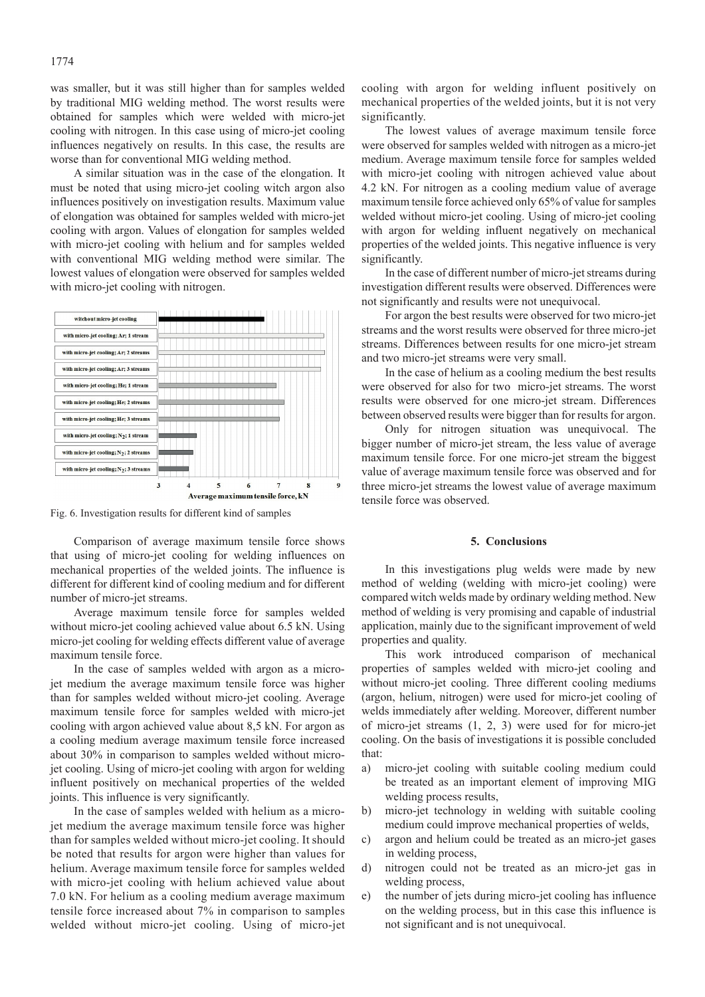was smaller, but it was still higher than for samples welded by traditional MIG welding method. The worst results were obtained for samples which were welded with micro-jet cooling with nitrogen. In this case using of micro-jet cooling influences negatively on results. In this case, the results are worse than for conventional MIG welding method.

A similar situation was in the case of the elongation. It must be noted that using micro-jet cooling witch argon also influences positively on investigation results. Maximum value of elongation was obtained for samples welded with micro-jet cooling with argon. Values of elongation for samples welded with micro-jet cooling with helium and for samples welded with conventional MIG welding method were similar. The lowest values of elongation were observed for samples welded with micro-jet cooling with nitrogen.



Fig. 6. Investigation results for different kind of samples

Comparison of average maximum tensile force shows that using of micro-jet cooling for welding influences on mechanical properties of the welded joints. The influence is different for different kind of cooling medium and for different number of micro-jet streams.

Average maximum tensile force for samples welded without micro-jet cooling achieved value about 6.5 kN. Using micro-jet cooling for welding effects different value of average maximum tensile force.

In the case of samples welded with argon as a microjet medium the average maximum tensile force was higher than for samples welded without micro-jet cooling. Average maximum tensile force for samples welded with micro-jet cooling with argon achieved value about 8,5 kN. For argon as a cooling medium average maximum tensile force increased about 30% in comparison to samples welded without microjet cooling. Using of micro-jet cooling with argon for welding influent positively on mechanical properties of the welded joints. This influence is very significantly.

In the case of samples welded with helium as a microjet medium the average maximum tensile force was higher than for samples welded without micro-jet cooling. It should be noted that results for argon were higher than values for helium. Average maximum tensile force for samples welded with micro-jet cooling with helium achieved value about 7.0 kN. For helium as a cooling medium average maximum tensile force increased about 7% in comparison to samples welded without micro-jet cooling. Using of micro-jet

cooling with argon for welding influent positively on mechanical properties of the welded joints, but it is not very significantly.

The lowest values of average maximum tensile force were observed for samples welded with nitrogen as a micro-jet medium. Average maximum tensile force for samples welded with micro-jet cooling with nitrogen achieved value about 4.2 kN. For nitrogen as a cooling medium value of average maximum tensile force achieved only 65% of value for samples welded without micro-jet cooling. Using of micro-jet cooling with argon for welding influent negatively on mechanical properties of the welded joints. This negative influence is very significantly.

In the case of different number of micro-jet streams during investigation different results were observed. Differences were not significantly and results were not unequivocal.

For argon the best results were observed for two micro-jet streams and the worst results were observed for three micro-jet streams. Differences between results for one micro-jet stream and two micro-jet streams were very small.

In the case of helium as a cooling medium the best results were observed for also for two micro-jet streams. The worst results were observed for one micro-jet stream. Differences between observed results were bigger than for results for argon.

Only for nitrogen situation was unequivocal. The bigger number of micro-jet stream, the less value of average maximum tensile force. For one micro-jet stream the biggest value of average maximum tensile force was observed and for three micro-jet streams the lowest value of average maximum tensile force was observed.

#### **5. Conclusions**

In this investigations plug welds were made by new method of welding (welding with micro-jet cooling) were compared witch welds made by ordinary welding method. New method of welding is very promising and capable of industrial application, mainly due to the significant improvement of weld properties and quality.

This work introduced comparison of mechanical properties of samples welded with micro-jet cooling and without micro-jet cooling. Three different cooling mediums (argon, helium, nitrogen) were used for micro-jet cooling of welds immediately after welding. Moreover, different number of micro-jet streams (1, 2, 3) were used for for micro-jet cooling. On the basis of investigations it is possible concluded that:

- a) micro-jet cooling with suitable cooling medium could be treated as an important element of improving MIG welding process results,
- b) micro-jet technology in welding with suitable cooling medium could improve mechanical properties of welds,
- c) argon and helium could be treated as an micro-jet gases in welding process,
- d) nitrogen could not be treated as an micro-jet gas in welding process,
- e) the number of jets during micro-jet cooling has influence on the welding process, but in this case this influence is not significant and is not unequivocal.